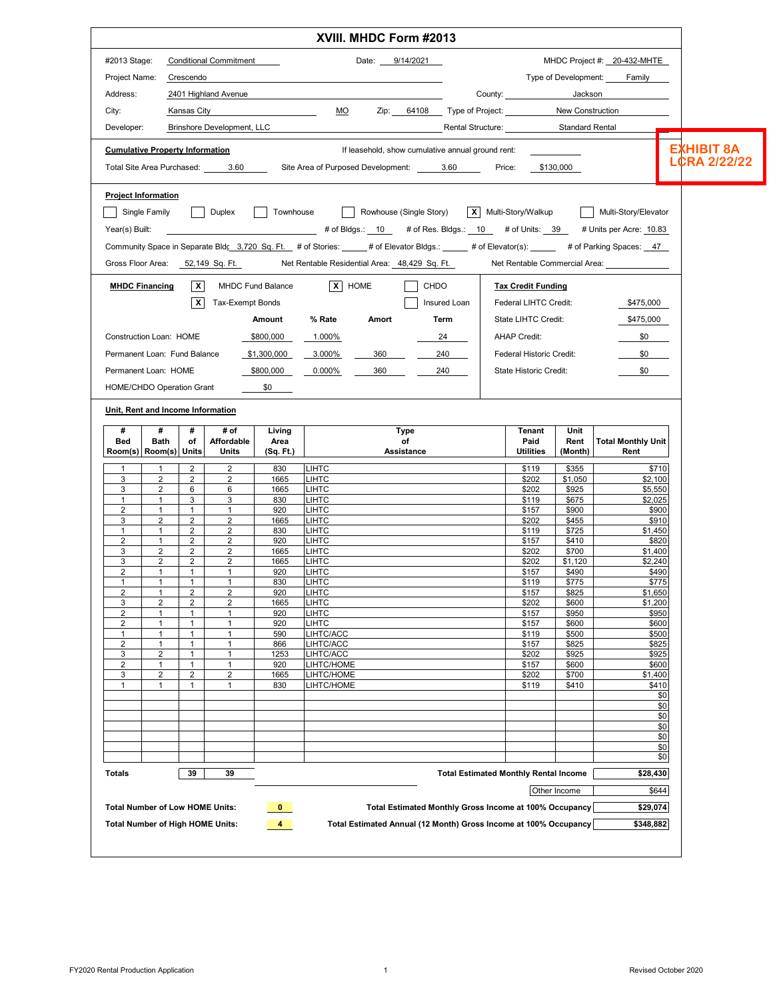|                                             |                                |                                         |                                  |                  | XVIII. MHDC Form #2013                                                                                                                        |                                                        |                                              |                  |                                                                         |                     |
|---------------------------------------------|--------------------------------|-----------------------------------------|----------------------------------|------------------|-----------------------------------------------------------------------------------------------------------------------------------------------|--------------------------------------------------------|----------------------------------------------|------------------|-------------------------------------------------------------------------|---------------------|
| #2013 Stage:                                |                                |                                         | <b>Conditional Commitment</b>    |                  | Date: 9/14/2021                                                                                                                               |                                                        |                                              |                  | MHDC Project #: 20-432-MHTE                                             |                     |
| Project Name: Crescendo                     |                                |                                         |                                  |                  |                                                                                                                                               |                                                        |                                              |                  | Type of Development: Family                                             |                     |
| Address:                                    |                                |                                         | 2401 Highland Avenue             |                  |                                                                                                                                               |                                                        | County: Jackson                              |                  |                                                                         |                     |
| City:                                       |                                | Kansas City                             |                                  |                  |                                                                                                                                               | MO Zip: 64108 Type of Project: New Construction        |                                              |                  |                                                                         |                     |
| Developer:                                  |                                |                                         |                                  |                  |                                                                                                                                               |                                                        | Rental Structure: Standard Rental            |                  |                                                                         |                     |
| <b>Cumulative Property Information</b>      |                                |                                         |                                  |                  |                                                                                                                                               | If leasehold, show cumulative annual ground rent:      |                                              |                  |                                                                         | <b>EXHIBIT 8A</b>   |
|                                             |                                |                                         |                                  |                  | Total Site Area Purchased: 3.60 Site Area of Purposed Development: 3.60                                                                       |                                                        | Price: \$130,000                             |                  |                                                                         | <b>LCRA 2/22/22</b> |
| <b>Project Information</b><br>Single Family |                                |                                         | Duplex Townhouse                 |                  |                                                                                                                                               |                                                        |                                              |                  | Rowhouse (Single Story)   X   Multi-Story/Walkup   Multi-Story/Elevator |                     |
|                                             |                                |                                         |                                  |                  | Year(s) Built: Vear(s) Built: The State of Budgs: 10 # of Res. Bldgs.: 10 # of Units: 39 # Units per Acre: 10.83                              |                                                        |                                              |                  |                                                                         |                     |
|                                             |                                |                                         |                                  |                  | Community Space in Separate Bldc 3,720 Sq. Ft. # of Stories: _____# of Elevator Bldgs.: _____ # of Elevator(s): _____ # of Parking Spaces: 47 |                                                        |                                              |                  |                                                                         |                     |
|                                             |                                |                                         | Gross Floor Area: 52,149 Sq. Ft. |                  | Net Rentable Residential Area: 48,429 Sq. Ft.                                                                                                 |                                                        |                                              |                  | Net Rentable Commercial Area: _______________                           |                     |
|                                             |                                |                                         |                                  |                  |                                                                                                                                               |                                                        |                                              |                  |                                                                         |                     |
| <b>MHDC Financing</b>                       |                                |                                         | <b>X</b> MHDC Fund Balance       |                  | X HOME                                                                                                                                        | <b>CHDO</b>                                            | <b>Tax Credit Funding</b>                    |                  |                                                                         |                     |
|                                             |                                | X                                       | Tax-Exempt Bonds                 |                  |                                                                                                                                               | Insured Loan                                           | Federal LIHTC Credit:                        |                  | \$475,000                                                               |                     |
|                                             |                                |                                         |                                  | Amount           | % Rate<br>Amort                                                                                                                               | Term                                                   | State LIHTC Credit:                          |                  | \$475,000                                                               |                     |
| Construction Loan: HOME                     |                                |                                         |                                  | \$800,000        | 1.000%                                                                                                                                        | 24                                                     | <b>AHAP Credit:</b>                          |                  | \$0                                                                     |                     |
| Permanent Loan: Fund Balance                |                                |                                         |                                  |                  | \$1,300,000 3.000%                                                                                                                            | 360 240                                                | Federal Historic Credit:                     |                  | \$0                                                                     |                     |
| Permanent Loan: HOME                        |                                |                                         |                                  | \$800,000 0.000% | 360                                                                                                                                           | 240                                                    | State Historic Credit:                       |                  | \$0                                                                     |                     |
| HOME/CHDO Operation Grant                   |                                |                                         |                                  | $\frac{$0}{}$    |                                                                                                                                               |                                                        |                                              |                  |                                                                         |                     |
| Unit, Rent and Income Information           |                                |                                         |                                  |                  |                                                                                                                                               |                                                        |                                              |                  |                                                                         |                     |
|                                             |                                |                                         |                                  |                  |                                                                                                                                               |                                                        |                                              |                  |                                                                         |                     |
| #<br>Bed                                    | #<br><b>Bath</b>               | #<br>of                                 | # of<br>Affordable               | Living<br>Area   | Type<br>of                                                                                                                                    |                                                        | Tenant<br>Paid                               | Unit<br>Rent     | <b>Total Monthly Unit</b>                                               |                     |
| Room(s) Room(s) Units                       |                                |                                         | Units                            | (Sq. Ft.)        | Assistance                                                                                                                                    |                                                        | <b>Utilities</b>                             | (Month)          | Rent                                                                    |                     |
| 1                                           | 1                              | $\overline{2}$                          | 2                                | 830              | <b>LIHTC</b>                                                                                                                                  |                                                        | \$119                                        | \$355            | \$710                                                                   |                     |
| 3<br>3                                      | 2<br>2                         | $\overline{2}$<br>6                     | 2<br>6                           | 1665<br>1665     | <b>LIHTC</b><br>LIHTC                                                                                                                         |                                                        | \$202<br>\$202                               | \$1,050<br>\$925 | \$2,100<br>\$5,550                                                      |                     |
| $\mathbf{1}$                                | $\mathbf{1}$                   | 3                                       | 3                                | 830              | LIHTC                                                                                                                                         |                                                        | \$119                                        | \$675            | \$2,025                                                                 |                     |
| $\overline{2}$<br>3                         | $\mathbf{1}$<br>$\overline{2}$ | $\mathbf{1}$<br>2                       | $\mathbf{1}$<br>2                | 920<br>1665      | LIHTC<br><b>LIHTC</b>                                                                                                                         |                                                        | \$157<br>\$202                               | \$900<br>\$455   | \$900<br>\$910                                                          |                     |
| $\mathbf{1}$                                | $\mathbf{1}$                   | 2                                       | 2                                | 830              | <b>LIHTC</b>                                                                                                                                  |                                                        | \$119                                        | \$725            | \$1,450                                                                 |                     |
| $\overline{2}$<br>3                         | $\mathbf{1}$<br>2              | $\overline{2}$<br>2                     | 2<br>2                           | 920<br>1665      | <b>LIHTC</b><br><b>LIHTC</b>                                                                                                                  |                                                        | \$157<br>\$202                               | \$410<br>\$700   | \$820<br>\$1,400                                                        |                     |
| 3                                           | $\overline{2}$                 | $\overline{2}$                          | $\overline{2}$                   | 1665             | <b>LIHTC</b>                                                                                                                                  |                                                        | \$202                                        | \$1,120          | \$2,240                                                                 |                     |
| $\overline{2}$<br>$\mathbf{1}$              | $\mathbf{1}$<br>$\mathbf{1}$   | $\overline{1}$<br>$\mathbf{1}$          | $\mathbf{1}$<br>$\mathbf{1}$     | 920<br>830       | <b>LIHTC</b><br><b>LIHTC</b>                                                                                                                  |                                                        | \$157<br>\$119                               | \$490<br>\$775   | \$490<br>\$775                                                          |                     |
| 2                                           | 1                              | 2                                       | 2                                | 920              | <b>LIHTC</b>                                                                                                                                  |                                                        | \$157                                        | \$825            | \$1,650                                                                 |                     |
| 3<br>2                                      | 2<br>1                         | $\overline{2}$<br>1                     | $\overline{2}$<br>1              | 1665<br>920      | LIHTC<br>LIHTC                                                                                                                                |                                                        | \$202<br>\$157                               | \$600<br>\$950   | \$1,200<br>\$950                                                        |                     |
| $\overline{c}$                              | 1                              | $\mathbf{1}$                            | $\mathbf{1}$                     | 920              | LIHTC                                                                                                                                         |                                                        | \$157                                        | \$600            | \$600                                                                   |                     |
| $\mathbf{1}$<br>2                           | $\mathbf{1}$<br>$\mathbf{1}$   | $\mathbf{1}$<br>1                       | $\mathbf{1}$<br>$\mathbf{1}$     | 590<br>866       | LIHTC/ACC<br>LIHTC/ACC                                                                                                                        |                                                        | \$119<br>\$157                               | \$500<br>\$825   | \$500<br>\$825                                                          |                     |
| 3                                           | 2                              | $\mathbf{1}$                            | $\mathbf{1}$                     | 1253             | LIHTC/ACC                                                                                                                                     |                                                        | \$202                                        | \$925            | \$925                                                                   |                     |
| 2<br>3                                      | 1<br>2                         | $\mathbf{1}$<br>$\overline{\mathbf{c}}$ | $\mathbf{1}$<br>$\overline{2}$   | 920<br>1665      | LIHTC/HOME<br>LIHTC/HOME                                                                                                                      |                                                        | \$157<br>\$202                               | \$600<br>\$700   | \$600<br>\$1,400                                                        |                     |
| -1                                          | 1                              | 1                                       | $\mathbf{1}$                     | 830              | LIHTC/HOME                                                                                                                                    |                                                        | \$119                                        | \$410            | \$410                                                                   |                     |
|                                             |                                |                                         |                                  |                  |                                                                                                                                               |                                                        |                                              |                  | \$0<br>\$0                                                              |                     |
|                                             |                                |                                         |                                  |                  |                                                                                                                                               |                                                        |                                              |                  | \$0<br>\$0                                                              |                     |
|                                             |                                |                                         |                                  |                  |                                                                                                                                               |                                                        |                                              |                  | \$0                                                                     |                     |
|                                             |                                |                                         |                                  |                  |                                                                                                                                               |                                                        |                                              |                  | \$0<br>\$0                                                              |                     |
| <b>Totals</b>                               |                                | 39                                      | 39                               |                  |                                                                                                                                               |                                                        | <b>Total Estimated Monthly Rental Income</b> |                  | \$28,430                                                                |                     |
|                                             |                                |                                         |                                  |                  |                                                                                                                                               |                                                        |                                              |                  |                                                                         |                     |
|                                             |                                |                                         |                                  |                  |                                                                                                                                               |                                                        |                                              | Other Income     | \$644                                                                   |                     |
| <b>Total Number of Low HOME Units:</b>      |                                |                                         |                                  | $\mathbf{0}$     |                                                                                                                                               | Total Estimated Monthly Gross Income at 100% Occupancy |                                              |                  | \$29,074                                                                |                     |
| <b>Total Number of High HOME Units:</b>     |                                |                                         |                                  | 4 <sup>1</sup>   | Total Estimated Annual (12 Month) Gross Income at 100% Occupancy                                                                              |                                                        |                                              |                  | \$348,882                                                               |                     |
|                                             |                                |                                         |                                  |                  |                                                                                                                                               |                                                        |                                              |                  |                                                                         |                     |
|                                             |                                |                                         |                                  |                  |                                                                                                                                               |                                                        |                                              |                  |                                                                         |                     |
|                                             |                                |                                         |                                  |                  |                                                                                                                                               |                                                        |                                              |                  |                                                                         |                     |
|                                             |                                |                                         |                                  |                  |                                                                                                                                               |                                                        |                                              |                  |                                                                         |                     |
|                                             |                                |                                         |                                  |                  |                                                                                                                                               |                                                        |                                              |                  |                                                                         |                     |
|                                             |                                |                                         |                                  |                  |                                                                                                                                               |                                                        |                                              |                  |                                                                         |                     |
|                                             |                                |                                         |                                  |                  |                                                                                                                                               |                                                        |                                              |                  |                                                                         |                     |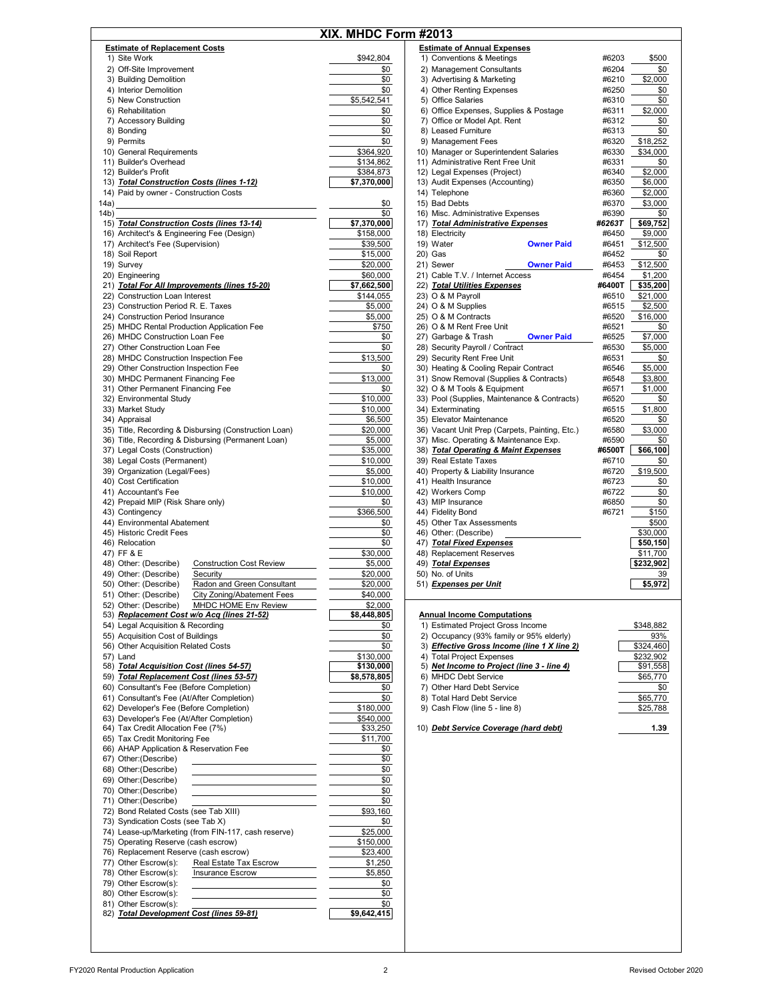|      |                                                          | XIX. MHDC Form #2013 |                                                |        |
|------|----------------------------------------------------------|----------------------|------------------------------------------------|--------|
|      | <b>Estimate of Replacement Costs</b>                     |                      | <b>Estimate of Annual Expenses</b>             |        |
|      | 1) Site Work                                             | \$942,804            | 1) Conventions & Meetings                      | #6203  |
|      | 2) Off-Site Improvement                                  | \$0                  | 2) Management Consultants                      | #6204  |
|      | 3) Building Demolition                                   | \$0                  | 3) Advertising & Marketing                     | #6210  |
|      | 4) Interior Demolition                                   | \$0                  | 4) Other Renting Expenses                      | #6250  |
|      | 5) New Construction                                      | \$5,542,541          | 5) Office Salaries                             | #6310  |
|      |                                                          |                      | 6) Office Expenses, Supplies & Postage         |        |
|      | 6) Rehabilitation                                        | \$0                  |                                                | #6311  |
|      | 7) Accessory Building                                    | \$0                  | 7) Office or Model Apt. Rent                   | #6312  |
|      | 8) Bonding                                               | \$0                  | 8) Leased Furniture                            | #6313  |
|      | 9) Permits                                               | \$0                  | 9) Management Fees                             | #6320  |
|      | 10) General Requirements                                 | \$364,920            | 10) Manager or Superintendent Salaries         | #6330  |
|      | 11) Builder's Overhead                                   | \$134,862            | 11) Administrative Rent Free Unit              | #6331  |
|      | 12) Builder's Profit                                     | \$384,873            | 12) Legal Expenses (Project)                   | #6340  |
|      | 13) Total Construction Costs (lines 1-12)                | \$7,370,000          | 13) Audit Expenses (Accounting)                | #6350  |
|      | 14) Paid by owner - Construction Costs                   |                      | 14) Telephone                                  | #6360  |
| 14a) |                                                          | \$0                  | 15) Bad Debts                                  | #6370  |
| (4b) |                                                          | \$0                  | 16) Misc. Administrative Expenses              | #6390  |
|      | 15) Total Construction Costs (lines 13-14)               | \$7,370,000          | 17) Total Administrative Expenses              | #6263T |
|      | 16) Architect's & Engineering Fee (Design)               | \$158,000            | 18) Electricity                                | #6450  |
|      | 17) Architect's Fee (Supervision)                        | \$39,500             | 19) Water<br><b>Owner Paid</b>                 | #6451  |
|      |                                                          |                      |                                                |        |
|      | 18) Soil Report                                          | \$15,000             | 20) Gas                                        | #6452  |
|      | 19) Survey                                               | \$20,000             | 21) Sewer<br><b>Owner Paid</b>                 | #6453  |
|      | 20) Engineering                                          | \$60,000             | 21) Cable T.V. / Internet Access               | #6454  |
|      | 21) Total For All Improvements (lines 15-20)             | \$7,662,500          | 22) Total Utilities Expenses                   | #6400T |
|      | 22) Construction Loan Interest                           | \$144,055            | 23) O & M Payroll                              | #6510  |
|      | 23) Construction Period R. E. Taxes                      | \$5,000              | 24) O & M Supplies                             | #6515  |
|      | 24) Construction Period Insurance                        | \$5,000              | 25) O & M Contracts                            | #6520  |
|      | 25) MHDC Rental Production Application Fee               | \$750                | 26) O & M Rent Free Unit                       | #6521  |
|      | 26) MHDC Construction Loan Fee                           | \$0                  | 27) Garbage & Trash<br><b>Owner Paid</b>       | #6525  |
|      |                                                          |                      |                                                |        |
|      | 27) Other Construction Loan Fee                          | \$0                  | 28) Security Payroll / Contract                | #6530  |
|      | 28) MHDC Construction Inspection Fee                     | \$13,500             | 29) Security Rent Free Unit                    | #6531  |
|      | 29) Other Construction Inspection Fee                    | \$0                  | 30) Heating & Cooling Repair Contract          | #6546  |
|      | 30) MHDC Permanent Financing Fee                         | \$13,000             | 31) Snow Removal (Supplies & Contracts)        | #6548  |
|      | 31) Other Permanent Financing Fee                        | \$0                  | 32) O & M Tools & Equipment                    | #6571  |
|      | 32) Environmental Study                                  | \$10,000             | 33) Pool (Supplies, Maintenance & Contracts)   | #6520  |
|      | 33) Market Study                                         | \$10,000             | 34) Exterminating                              | #6515  |
|      |                                                          |                      |                                                | #6520  |
|      | 34) Appraisal                                            | \$6,500              | 35) Elevator Maintenance                       |        |
|      | 35) Title, Recording & Disbursing (Construction Loan)    | \$20,000             | 36) Vacant Unit Prep (Carpets, Painting, Etc.) | #6580  |
|      | 36) Title, Recording & Disbursing (Permanent Loan)       | \$5,000              | 37) Misc. Operating & Maintenance Exp.         | #6590  |
|      | 37) Legal Costs (Construction)                           | \$35,000             | 38) Total Operating & Maint Expenses           | #6500T |
|      | 38) Legal Costs (Permanent)                              | \$10,000             | 39) Real Estate Taxes                          | #6710  |
|      | 39) Organization (Legal/Fees)                            | \$5,000              | 40) Property & Liability Insurance             | #6720  |
|      | 40) Cost Certification                                   | \$10,000             | 41) Health Insurance                           | #6723  |
|      | 41) Accountant's Fee                                     | \$10,000             | 42) Workers Comp                               | #6722  |
|      |                                                          |                      |                                                | #6850  |
|      | 42) Prepaid MIP (Risk Share only)                        | \$0                  | 43) MIP Insurance                              |        |
|      | 43) Contingency                                          | \$366,500            | 44) Fidelity Bond                              | #6721  |
|      | 44) Environmental Abatement                              | \$0                  | 45) Other Tax Assessments                      |        |
|      | 45) Historic Credit Fees                                 | \$0                  | 46) Other: (Describe)                          |        |
|      | 46) Relocation                                           | \$0                  | 47) Total Fixed Expenses                       |        |
|      | 47) FF & E                                               | \$30,000             | 48) Replacement Reserves                       |        |
|      | <b>Construction Cost Review</b><br>48) Other: (Describe) | \$5,000              | 49) Total Expenses                             |        |
|      | 49) Other: (Describe)<br>Security                        | \$20,000             | 50) No. of Units                               |        |
|      | Radon and Green Consultant<br>50) Other: (Describe)      | \$20,000             | 51) Expenses per Unit                          |        |
|      | City Zoning/Abatement Fees<br>51) Other: (Describe)      | \$40,000             |                                                |        |
|      | 52) Other: (Describe)<br>MHDC HOME Env Review            | \$2,000              |                                                |        |
|      |                                                          |                      |                                                |        |
|      | 53) Replacement Cost w/o Acq (lines 21-52)               | \$8,448,805          | <b>Annual Income Computations</b>              |        |
|      | 54) Legal Acquisition & Recording                        | \$0                  | 1) Estimated Project Gross Income              |        |
|      | 55) Acquisition Cost of Buildings                        | \$0                  | 2) Occupancy (93% family or 95% elderly)       |        |
|      | 56) Other Acquisition Related Costs                      | \$0                  | 3) Effective Gross Income (line 1 X line 2)    |        |
|      | 57) Land                                                 | \$130,000            | 4) Total Project Expenses                      |        |
|      | 58) Total Acquisition Cost (lines 54-57)                 | \$130,000            | 5) Net Income to Project (line 3 - line 4)     | $\Box$ |
|      | 59) Total Replacement Cost (lines 53-57)                 | \$8,578,805          | 6) MHDC Debt Service                           |        |
|      | 60) Consultant's Fee (Before Completion)                 | \$0                  | 7) Other Hard Debt Service                     |        |
|      | 61) Consultant's Fee (At/After Completion)               | \$0                  | 8) Total Hard Debt Service                     |        |
|      | 62) Developer's Fee (Before Completion)                  | \$180,000            | 9) Cash Flow (line 5 - line 8)                 |        |
|      |                                                          |                      |                                                |        |
|      | 63) Developer's Fee (At/After Completion)                | \$540,000            |                                                |        |
|      | 64) Tax Credit Allocation Fee (7%)                       | \$33,250             | 10) Debt Service Coverage (hard debt)          |        |
|      | 65) Tax Credit Monitoring Fee                            | \$11,700             |                                                |        |
|      | 66) AHAP Application & Reservation Fee                   | \$0                  |                                                |        |
|      | 67) Other: (Describe)                                    | \$0                  |                                                |        |
|      | 68) Other: (Describe)                                    | \$0                  |                                                |        |
|      | 69) Other: (Describe)                                    | \$0                  |                                                |        |
|      | 70) Other: (Describe)                                    | \$0                  |                                                |        |
|      | 71) Other: (Describe)                                    | \$0                  |                                                |        |
|      |                                                          |                      |                                                |        |
|      | 72) Bond Related Costs (see Tab XIII)                    | \$93,160             |                                                |        |
|      | 73) Syndication Costs (see Tab X)                        | \$0                  |                                                |        |
|      | 74) Lease-up/Marketing (from FIN-117, cash reserve)      | \$25,000             |                                                |        |
|      | 75) Operating Reserve (cash escrow)                      | \$150,000            |                                                |        |
|      | 76) Replacement Reserve (cash escrow)                    | \$23,400             |                                                |        |
|      | 77) Other Escrow(s):<br>Real Estate Tax Escrow           | \$1,250              |                                                |        |
|      | 78) Other Escrow(s):<br><b>Insurance Escrow</b>          | \$5,850              |                                                |        |
|      | 79) Other Escrow(s):                                     | \$0                  |                                                |        |
|      | 80) Other Escrow(s):                                     | \$0                  |                                                |        |
|      |                                                          |                      |                                                |        |
|      | 81) Other Escrow(s):                                     | \$0                  |                                                |        |
|      | 82) Total Development Cost (lines 59-81)                 | \$9,642,415          |                                                |        |

|                  | <b>DC Form #2013</b>                                                        |                            |                |
|------------------|-----------------------------------------------------------------------------|----------------------------|----------------|
|                  | <b>Estimate of Annual Expenses</b>                                          |                            |                |
| 42,804           | 1) Conventions & Meetings                                                   | #6203                      | \$500          |
| \$0              | 2) Management Consultants                                                   | #6204                      | \$0            |
| \$0              | 3) Advertising & Marketing                                                  | #6210                      | \$2,000        |
| \$0              | 4) Other Renting Expenses                                                   | #6250                      | \$0            |
| 42,541           | 5) Office Salaries                                                          | #6310                      | \$0            |
| \$0              | 6) Office Expenses, Supplies & Postage                                      | #6311                      | \$2,000        |
| \$0              | 7) Office or Model Apt. Rent                                                | #6312                      | \$0            |
| \$0              | 8) Leased Furniture                                                         | #6313                      | \$0            |
| \$0              | 9) Management Fees                                                          | #6320                      | \$18,252       |
| 64,920           | 10) Manager or Superintendent Salaries                                      | #6330                      | \$34,000       |
| 34,862           | 11) Administrative Rent Free Unit                                           | #6331                      | \$0            |
| 84,873           | 12) Legal Expenses (Project)                                                | #6340                      | \$2,000        |
| 70,000           | 13) Audit Expenses (Accounting)                                             | #6350                      | \$6,000        |
|                  | 14) Telephone                                                               | #6360                      | \$2,000        |
| \$0              | 15) Bad Debts                                                               | #6370                      | \$3,000        |
| \$0              | 16) Misc. Administrative Expenses                                           | #6390                      | \$0            |
| 70,000           | 17) Total Administrative Expenses                                           | #6263T                     | \$69,752       |
| 58,000           | 18) Electricity                                                             | #6450                      | \$9,000        |
| 39,500           | 19) Water                                                                   | <b>Owner Paid</b><br>#6451 | \$12,500       |
| 15,000           | 20) Gas                                                                     | #6452                      | \$0            |
| 20,000           | 21) Sewer                                                                   | <b>Owner Paid</b><br>#6453 | \$12,500       |
| 60,000           | 21) Cable T.V. / Internet Access                                            | #6454                      | \$1,200        |
| 62,500           | 22) Total Utilities Expenses                                                | #6400T                     | \$35,200       |
| 44,055           | 23) O & M Payroll                                                           | #6510                      | \$21,000       |
| \$5,000          | 24) O & M Supplies                                                          | #6515                      | \$2,500        |
| \$5,000          | 25) O & M Contracts                                                         | #6520                      | \$16,000       |
| \$750            | 26) O & M Rent Free Unit                                                    | #6521                      | \$0            |
| \$0              | 27) Garbage & Trash                                                         | <b>Owner Paid</b><br>#6525 | \$7,000        |
| \$0              | 28) Security Payroll / Contract                                             | #6530                      | \$5,000        |
| 13,500           | 29) Security Rent Free Unit                                                 | #6531                      | \$0            |
| \$0              | 30) Heating & Cooling Repair Contract                                       | #6546<br>#6548             | \$5,000        |
| 13,000           | 31) Snow Removal (Supplies & Contracts)                                     | #6571                      | \$3,800        |
| \$0              | 32) O & M Tools & Equipment<br>33) Pool (Supplies, Maintenance & Contracts) | #6520                      | \$1,000        |
| 10,000<br>10,000 | 34) Exterminating                                                           | #6515                      | \$0<br>\$1,800 |
| \$6,500          | 35) Elevator Maintenance                                                    | #6520                      | \$0            |
| 20,000           | 36) Vacant Unit Prep (Carpets, Painting, Etc.)                              | #6580                      | \$3,000        |
| \$5,000          | 37) Misc. Operating & Maintenance Exp.                                      | #6590                      | \$0            |
| 35,000           | 38) Total Operating & Maint Expenses                                        | #6500T                     | \$66,100       |
| 10,000           | 39) Real Estate Taxes                                                       | #6710                      | \$0            |
| \$5,000          | 40) Property & Liability Insurance                                          | #6720                      | \$19,500       |
| 10,000           | 41) Health Insurance                                                        | #6723                      | \$0            |
| 10,000           | 42) Workers Comp                                                            | #6722                      | \$0            |
| \$0              | 43) MIP Insurance                                                           | #6850                      | \$0            |
| 66,500           | 44) Fidelity Bond                                                           | #6721                      | \$150          |
| \$0              | 45) Other Tax Assessments                                                   |                            | \$500          |
| \$0              | 46) Other: (Describe)                                                       |                            | \$30,000       |
| \$0              | 47) Total Fixed Expenses                                                    |                            | \$50,150       |
| 30,000           | 48) Replacement Reserves                                                    |                            | \$11,700       |
| \$5,000          | 49) Total Expenses                                                          |                            | \$232,902      |
| 20,000           | 50) No. of Units                                                            |                            | 39             |
| 20,000           | 51) <i>Expenses per Unit</i>                                                |                            | \$5,972        |
| 40,000           |                                                                             |                            |                |
| \$2,000          |                                                                             |                            |                |
|                  |                                                                             |                            |                |

## 53) *Replacement Cost w/o Acq (lines 21-52)* **Annual Income Computations**

|                 | 1) Estimated Project Gross Income           | \$348,882 |
|-----------------|---------------------------------------------|-----------|
| \$0<br>\$0      | 2) Occupancy (93% family or 95% elderly)    | 93%       |
| \$0             | 3) Effective Gross Income (line 1 X line 2) | \$324,460 |
|                 | 4) Total Project Expenses                   | \$232.902 |
| $\frac{00}{00}$ | 5) Net Income to Project (line 3 - line 4)  | \$91,558  |
| 05              | 6) MHDC Debt Service                        | \$65,770  |
|                 | 7) Other Hard Debt Service                  | \$0       |
| \$0<br>\$0      | 8) Total Hard Debt Service                  | \$65,770  |
| $\frac{00}{00}$ | 9) Cash Flow (line 5 - line 8)              | \$25,788  |
|                 |                                             |           |

0